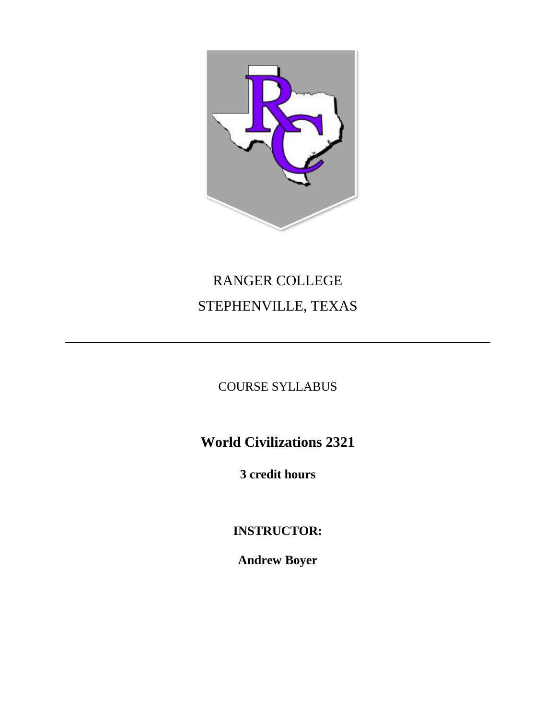

# RANGER COLLEGE STEPHENVILLE, TEXAS

COURSE SYLLABUS

**World Civilizations 2321**

**3 credit hours**

**INSTRUCTOR:**

**Andrew Boyer**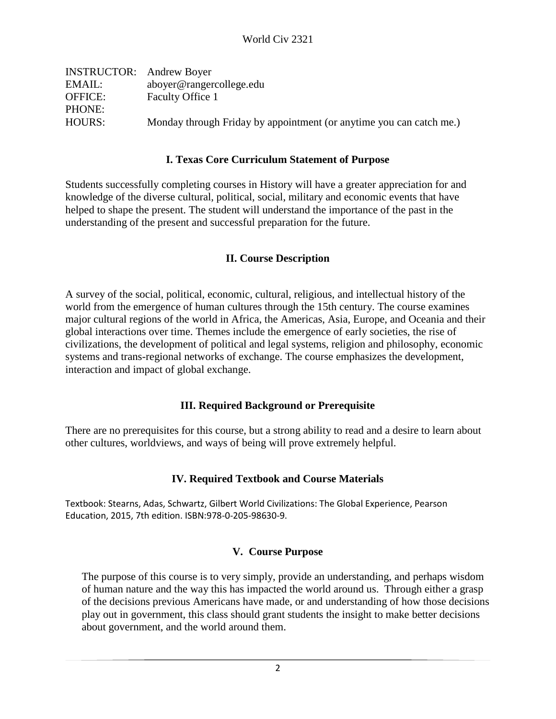| <b>INSTRUCTOR:</b> Andrew Boyer |                                                                     |
|---------------------------------|---------------------------------------------------------------------|
| EMAIL:                          | aboyer@rangercollege.edu                                            |
| <b>OFFICE:</b>                  | Faculty Office 1                                                    |
| PHONE:                          |                                                                     |
| HOURS:                          | Monday through Friday by appointment (or anytime you can catch me.) |
|                                 |                                                                     |

#### **I. Texas Core Curriculum Statement of Purpose**

Students successfully completing courses in History will have a greater appreciation for and knowledge of the diverse cultural, political, social, military and economic events that have helped to shape the present. The student will understand the importance of the past in the understanding of the present and successful preparation for the future.

#### **II. Course Description**

A survey of the social, political, economic, cultural, religious, and intellectual history of the world from the emergence of human cultures through the 15th century. The course examines major cultural regions of the world in Africa, the Americas, Asia, Europe, and Oceania and their global interactions over time. Themes include the emergence of early societies, the rise of civilizations, the development of political and legal systems, religion and philosophy, economic systems and trans-regional networks of exchange. The course emphasizes the development, interaction and impact of global exchange.

#### **III. Required Background or Prerequisite**

There are no prerequisites for this course, but a strong ability to read and a desire to learn about other cultures, worldviews, and ways of being will prove extremely helpful.

#### **IV. Required Textbook and Course Materials**

Textbook: Stearns, Adas, Schwartz, Gilbert World Civilizations: The Global Experience, Pearson Education, 2015, 7th edition. ISBN:978-0-205-98630-9.

#### **V. Course Purpose**

The purpose of this course is to very simply, provide an understanding, and perhaps wisdom of human nature and the way this has impacted the world around us. Through either a grasp of the decisions previous Americans have made, or and understanding of how those decisions play out in government, this class should grant students the insight to make better decisions about government, and the world around them.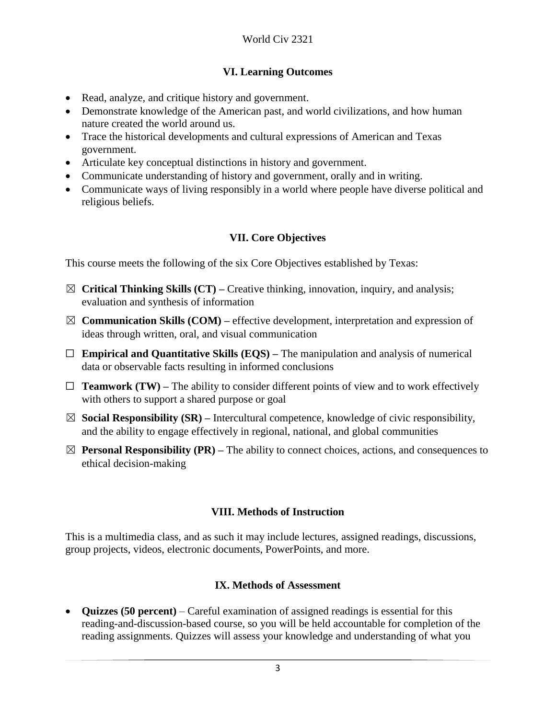# **VI. Learning Outcomes**

- Read, analyze, and critique history and government.
- Demonstrate knowledge of the American past, and world civilizations, and how human nature created the world around us.
- Trace the historical developments and cultural expressions of American and Texas government.
- Articulate key conceptual distinctions in history and government.
- Communicate understanding of history and government, orally and in writing.
- Communicate ways of living responsibly in a world where people have diverse political and religious beliefs.

# **VII. Core Objectives**

This course meets the following of the six Core Objectives established by Texas:

- ☒ **Critical Thinking Skills (CT) –** Creative thinking, innovation, inquiry, and analysis; evaluation and synthesis of information
- $\boxtimes$  **Communication Skills (COM)** effective development, interpretation and expression of ideas through written, oral, and visual communication
- ☐ **Empirical and Quantitative Skills (EQS) –** The manipulation and analysis of numerical data or observable facts resulting in informed conclusions
- $\Box$  **Teamwork (TW)** The ability to consider different points of view and to work effectively with others to support a shared purpose or goal
- ☒ **Social Responsibility (SR) –** Intercultural competence, knowledge of civic responsibility, and the ability to engage effectively in regional, national, and global communities
- $\boxtimes$  **Personal Responsibility (PR)** The ability to connect choices, actions, and consequences to ethical decision-making

#### **VIII. Methods of Instruction**

This is a multimedia class, and as such it may include lectures, assigned readings, discussions, group projects, videos, electronic documents, PowerPoints, and more.

#### **IX. Methods of Assessment**

• **Quizzes (50 percent)** – Careful examination of assigned readings is essential for this reading-and-discussion-based course, so you will be held accountable for completion of the reading assignments. Quizzes will assess your knowledge and understanding of what you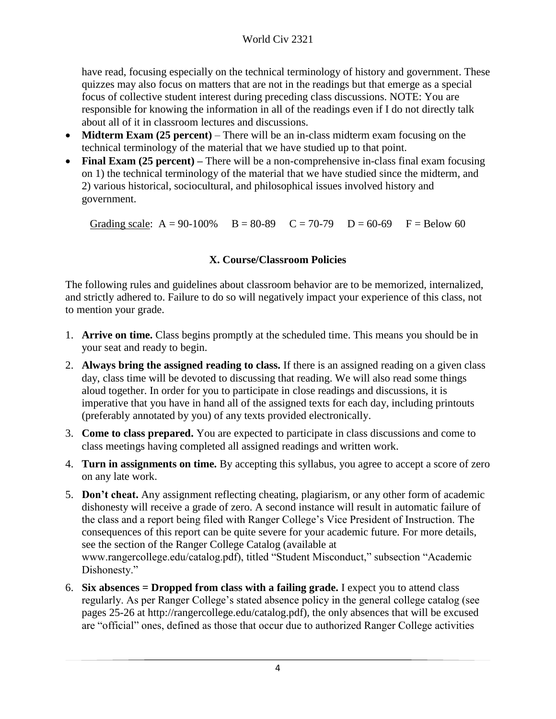have read, focusing especially on the technical terminology of history and government. These quizzes may also focus on matters that are not in the readings but that emerge as a special focus of collective student interest during preceding class discussions. NOTE: You are responsible for knowing the information in all of the readings even if I do not directly talk about all of it in classroom lectures and discussions.

- **Midterm Exam (25 percent)** There will be an in-class midterm exam focusing on the technical terminology of the material that we have studied up to that point.
- **Final Exam (25 percent)** There will be a non-comprehensive in-class final exam focusing on 1) the technical terminology of the material that we have studied since the midterm, and 2) various historical, sociocultural, and philosophical issues involved history and government.

Grading scale:  $A = 90-100\%$  B = 80-89 C = 70-79 D = 60-69 F = Below 60

# **X. Course/Classroom Policies**

The following rules and guidelines about classroom behavior are to be memorized, internalized, and strictly adhered to. Failure to do so will negatively impact your experience of this class, not to mention your grade.

- 1. **Arrive on time.** Class begins promptly at the scheduled time. This means you should be in your seat and ready to begin.
- 2. **Always bring the assigned reading to class.** If there is an assigned reading on a given class day, class time will be devoted to discussing that reading. We will also read some things aloud together. In order for you to participate in close readings and discussions, it is imperative that you have in hand all of the assigned texts for each day, including printouts (preferably annotated by you) of any texts provided electronically.
- 3. **Come to class prepared.** You are expected to participate in class discussions and come to class meetings having completed all assigned readings and written work.
- 4. **Turn in assignments on time.** By accepting this syllabus, you agree to accept a score of zero on any late work.
- 5. **Don't cheat.** Any assignment reflecting cheating, plagiarism, or any other form of academic dishonesty will receive a grade of zero. A second instance will result in automatic failure of the class and a report being filed with Ranger College's Vice President of Instruction. The consequences of this report can be quite severe for your academic future. For more details, see the section of the Ranger College Catalog (available at www.rangercollege.edu/catalog.pdf), titled "Student Misconduct," subsection "Academic Dishonesty."
- 6. **Six absences = Dropped from class with a failing grade.** I expect you to attend class regularly. As per Ranger College's stated absence policy in the general college catalog (see pages 25-26 at http://rangercollege.edu/catalog.pdf), the only absences that will be excused are "official" ones, defined as those that occur due to authorized Ranger College activities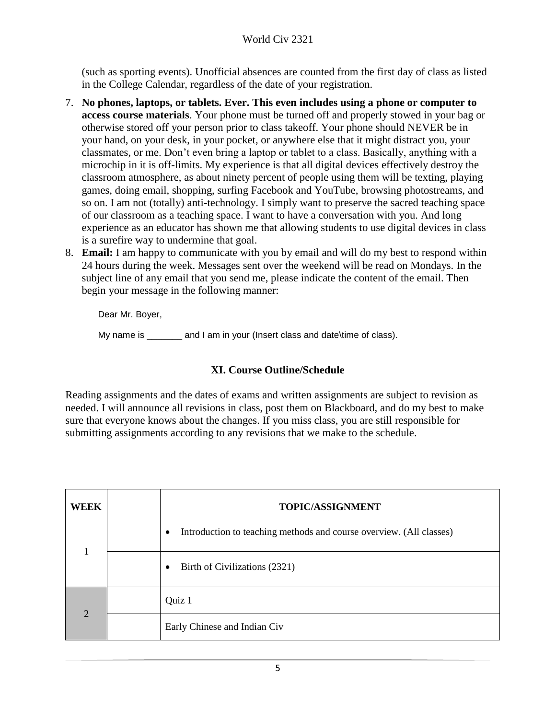(such as sporting events). Unofficial absences are counted from the first day of class as listed in the College Calendar, regardless of the date of your registration.

- 7. **No phones, laptops, or tablets. Ever. This even includes using a phone or computer to access course materials**. Your phone must be turned off and properly stowed in your bag or otherwise stored off your person prior to class takeoff. Your phone should NEVER be in your hand, on your desk, in your pocket, or anywhere else that it might distract you, your classmates, or me. Don't even bring a laptop or tablet to a class. Basically, anything with a microchip in it is off-limits. My experience is that all digital devices effectively destroy the classroom atmosphere, as about ninety percent of people using them will be texting, playing games, doing email, shopping, surfing Facebook and YouTube, browsing photostreams, and so on. I am not (totally) anti-technology. I simply want to preserve the sacred teaching space of our classroom as a teaching space. I want to have a conversation with you. And long experience as an educator has shown me that allowing students to use digital devices in class is a surefire way to undermine that goal.
- 8. **Email:** I am happy to communicate with you by email and will do my best to respond within 24 hours during the week. Messages sent over the weekend will be read on Mondays. In the subject line of any email that you send me, please indicate the content of the email. Then begin your message in the following manner:

Dear Mr. Boyer,

My name is \_\_\_\_\_\_\_ and I am in your (Insert class and date\time of class).

#### **XI. Course Outline/Schedule**

Reading assignments and the dates of exams and written assignments are subject to revision as needed. I will announce all revisions in class, post them on Blackboard, and do my best to make sure that everyone knows about the changes. If you miss class, you are still responsible for submitting assignments according to any revisions that we make to the schedule.

| WEEK           | <b>TOPIC/ASSIGNMENT</b>                                                          |
|----------------|----------------------------------------------------------------------------------|
|                | Introduction to teaching methods and course overview. (All classes)<br>$\bullet$ |
|                | Birth of Civilizations (2321)<br>$\bullet$                                       |
| $\overline{2}$ | Quiz 1                                                                           |
|                | Early Chinese and Indian Civ                                                     |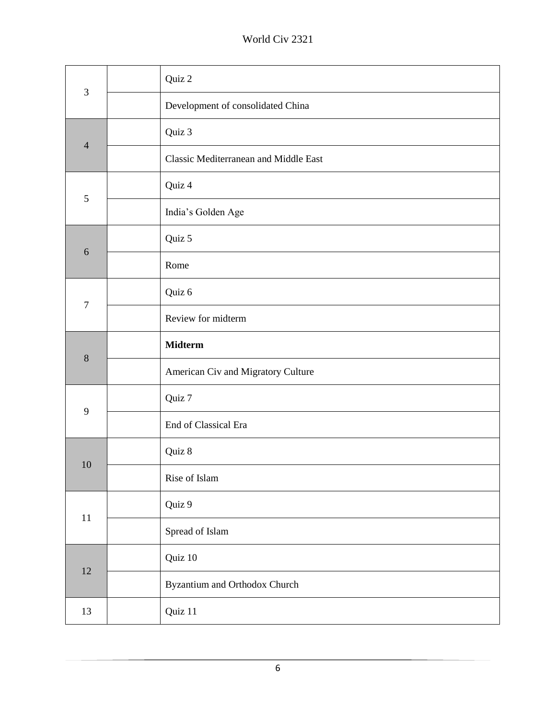# World Civ 2321

| 3                | Quiz 2                                |
|------------------|---------------------------------------|
|                  | Development of consolidated China     |
| $\overline{4}$   | Quiz 3                                |
|                  | Classic Mediterranean and Middle East |
| $\mathfrak{S}$   | Quiz 4                                |
|                  | India's Golden Age                    |
| $\sqrt{6}$       | Quiz 5                                |
|                  | Rome                                  |
|                  | Quiz 6                                |
| $\boldsymbol{7}$ | Review for midterm                    |
| $8\,$            | <b>Midterm</b>                        |
|                  | American Civ and Migratory Culture    |
| 9                | Quiz 7                                |
|                  | End of Classical Era                  |
| 10               | Quiz 8                                |
|                  | Rise of Islam                         |
|                  | Quiz 9                                |
| 11               | Spread of Islam                       |
| 12               | Quiz 10                               |
|                  | Byzantium and Orthodox Church         |
| 13               | Quiz 11                               |